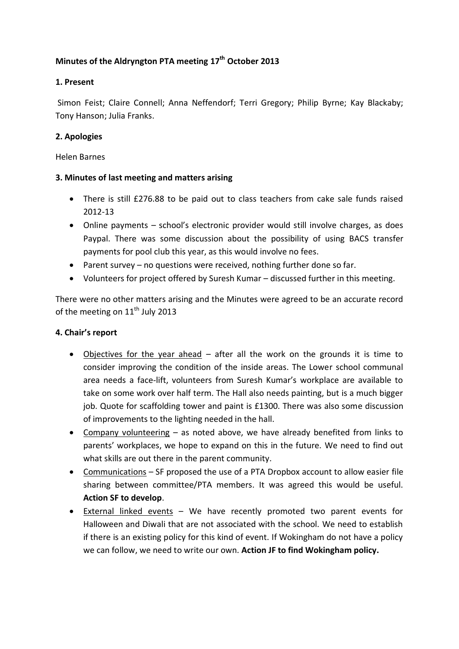# **Minutes of the Aldryngton PTA meeting 17 th October 2013**

# **1. Present**

Simon Feist; Claire Connell; Anna Neffendorf; Terri Gregory; Philip Byrne; Kay Blackaby; Tony Hanson; Julia Franks.

# **2. Apologies**

#### Helen Barnes

# **3. Minutes of last meeting and matters arising**

- There is still £276.88 to be paid out to class teachers from cake sale funds raised 2012-13
- Online payments school's electronic provider would still involve charges, as does Paypal. There was some discussion about the possibility of using BACS transfer payments for pool club this year, as this would involve no fees.
- Parent survey no questions were received, nothing further done so far.
- Volunteers for project offered by Suresh Kumar discussed further in this meeting.

There were no other matters arising and the Minutes were agreed to be an accurate record of the meeting on  $11<sup>th</sup>$  July 2013

# **4. Chair's report**

- Objectives for the year ahead after all the work on the grounds it is time to consider improving the condition of the inside areas. The Lower school communal area needs a face-lift, volunteers from Suresh Kumar's workplace are available to take on some work over half term. The Hall also needs painting, but is a much bigger job. Quote for scaffolding tower and paint is £1300. There was also some discussion of improvements to the lighting needed in the hall.
- Company volunteering as noted above, we have already benefited from links to parents' workplaces, we hope to expand on this in the future. We need to find out what skills are out there in the parent community.
- Communications SF proposed the use of a PTA Dropbox account to allow easier file sharing between committee/PTA members. It was agreed this would be useful. **Action SF to develop**.
- External linked events We have recently promoted two parent events for Halloween and Diwali that are not associated with the school. We need to establish if there is an existing policy for this kind of event. If Wokingham do not have a policy we can follow, we need to write our own. **Action JF to find Wokingham policy.**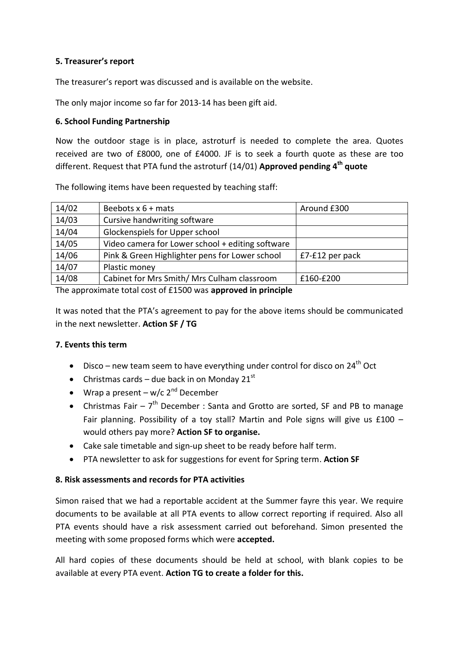# **5. Treasurer's report**

The treasurer's report was discussed and is available on the website.

The only major income so far for 2013-14 has been gift aid.

# **6. School Funding Partnership**

Now the outdoor stage is in place, astroturf is needed to complete the area. Quotes received are two of £8000, one of £4000. JF is to seek a fourth quote as these are too different. Request that PTA fund the astroturf (14/01) **Approved pending 4th quote**

The following items have been requested by teaching staff:

| 14/02 | Beebots $x$ 6 + mats                             | Around £300     |
|-------|--------------------------------------------------|-----------------|
| 14/03 | Cursive handwriting software                     |                 |
| 14/04 | Glockenspiels for Upper school                   |                 |
| 14/05 | Video camera for Lower school + editing software |                 |
| 14/06 | Pink & Green Highlighter pens for Lower school   | £7-£12 per pack |
| 14/07 | Plastic money                                    |                 |
| 14/08 | Cabinet for Mrs Smith/ Mrs Culham classroom      | £160-£200       |
| $-1$  |                                                  |                 |

The approximate total cost of £1500 was **approved in principle**

It was noted that the PTA's agreement to pay for the above items should be communicated in the next newsletter. **Action SF / TG**

# **7. Events this term**

- Disco new team seem to have everything under control for disco on  $24<sup>th</sup>$  Oct
- Christmas cards due back in on Monday  $21^{st}$
- Wrap a present w/c  $2^{nd}$  December
- Christmas Fair  $-7<sup>th</sup>$  December : Santa and Grotto are sorted, SF and PB to manage Fair planning. Possibility of a toy stall? Martin and Pole signs will give us  $£100$ would others pay more? **Action SF to organise.**
- Cake sale timetable and sign-up sheet to be ready before half term.
- PTA newsletter to ask for suggestions for event for Spring term. **Action SF**

# **8. Risk assessments and records for PTA activities**

Simon raised that we had a reportable accident at the Summer fayre this year. We require documents to be available at all PTA events to allow correct reporting if required. Also all PTA events should have a risk assessment carried out beforehand. Simon presented the meeting with some proposed forms which were **accepted.**

All hard copies of these documents should be held at school, with blank copies to be available at every PTA event. **Action TG to create a folder for this.**